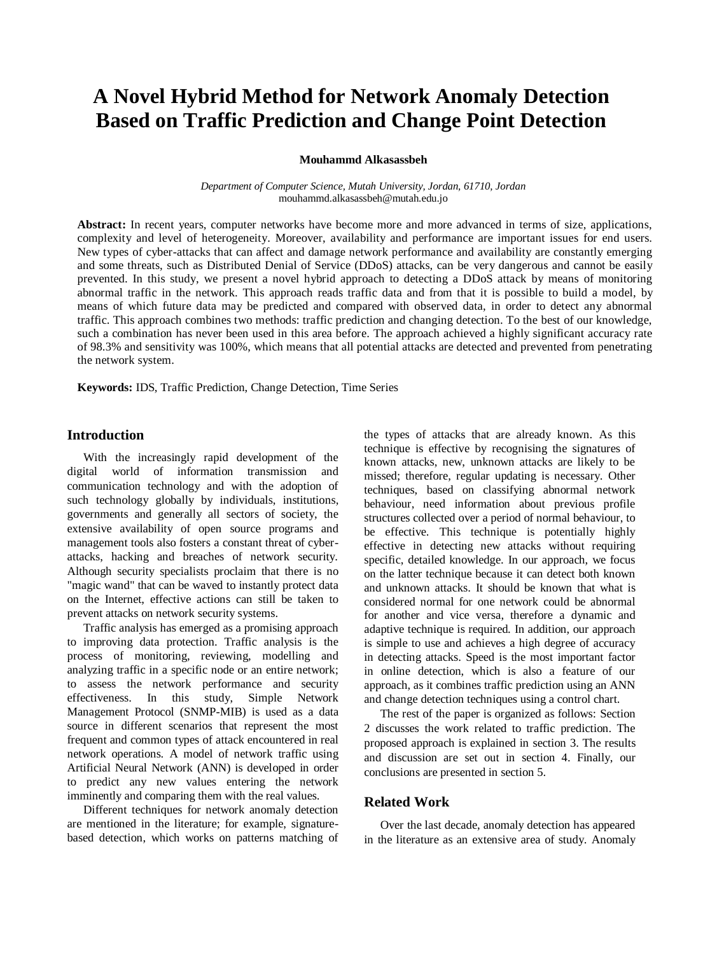# **A Novel Hybrid Method for Network Anomaly Detection Based on Traffic Prediction and Change Point Detection**

**Mouhammd Alkasassbeh**

*Department of Computer Science, Mutah University, Jordan, 61710, Jordan* mouhammd.alkasassbeh@mutah.edu.jo

**Abstract:** In recent years, computer networks have become more and more advanced in terms of size, applications, complexity and level of heterogeneity. Moreover, availability and performance are important issues for end users. New types of cyber-attacks that can affect and damage network performance and availability are constantly emerging and some threats, such as Distributed Denial of Service (DDoS) attacks, can be very dangerous and cannot be easily prevented. In this study, we present a novel hybrid approach to detecting a DDoS attack by means of monitoring abnormal traffic in the network. This approach reads traffic data and from that it is possible to build a model, by means of which future data may be predicted and compared with observed data, in order to detect any abnormal traffic. This approach combines two methods: traffic prediction and changing detection. To the best of our knowledge, such a combination has never been used in this area before. The approach achieved a highly significant accuracy rate of 98.3% and sensitivity was 100%, which means that all potential attacks are detected and prevented from penetrating the network system.

**Keywords:** IDS, Traffic Prediction, Change Detection, Time Series

# **Introduction**

With the increasingly rapid development of the digital world of information transmission and communication technology and with the adoption of such technology globally by individuals, institutions, governments and generally all sectors of society, the extensive availability of open source programs and management tools also fosters a constant threat of cyberattacks, hacking and breaches of network security. Although security specialists proclaim that there is no "magic wand" that can be waved to instantly protect data on the Internet, effective actions can still be taken to prevent attacks on network security systems.

Traffic analysis has emerged as a promising approach to improving data protection. Traffic analysis is the process of monitoring, reviewing, modelling and analyzing traffic in a specific node or an entire network; to assess the network performance and security effectiveness. In this study, Simple Network Management Protocol (SNMP-MIB) is used as a data source in different scenarios that represent the most frequent and common types of attack encountered in real network operations. A model of network traffic using Artificial Neural Network (ANN) is developed in order to predict any new values entering the network imminently and comparing them with the real values.

Different techniques for network anomaly detection are mentioned in the literature; for example, signaturebased detection, which works on patterns matching of the types of attacks that are already known. As this technique is effective by recognising the signatures of known attacks, new, unknown attacks are likely to be missed; therefore, regular updating is necessary. Other techniques, based on classifying abnormal network behaviour, need information about previous profile structures collected over a period of normal behaviour, to be effective. This technique is potentially highly effective in detecting new attacks without requiring specific, detailed knowledge. In our approach, we focus on the latter technique because it can detect both known and unknown attacks. It should be known that what is considered normal for one network could be abnormal for another and vice versa, therefore a dynamic and adaptive technique is required. In addition, our approach is simple to use and achieves a high degree of accuracy in detecting attacks. Speed is the most important factor in online detection, which is also a feature of our approach, as it combines traffic prediction using an ANN and change detection techniques using a control chart.

The rest of the paper is organized as follows: Section 2 discusses the work related to traffic prediction. The proposed approach is explained in section 3. The results and discussion are set out in section 4. Finally, our conclusions are presented in section 5.

## **Related Work**

Over the last decade, anomaly detection has appeared in the literature as an extensive area of study. Anomaly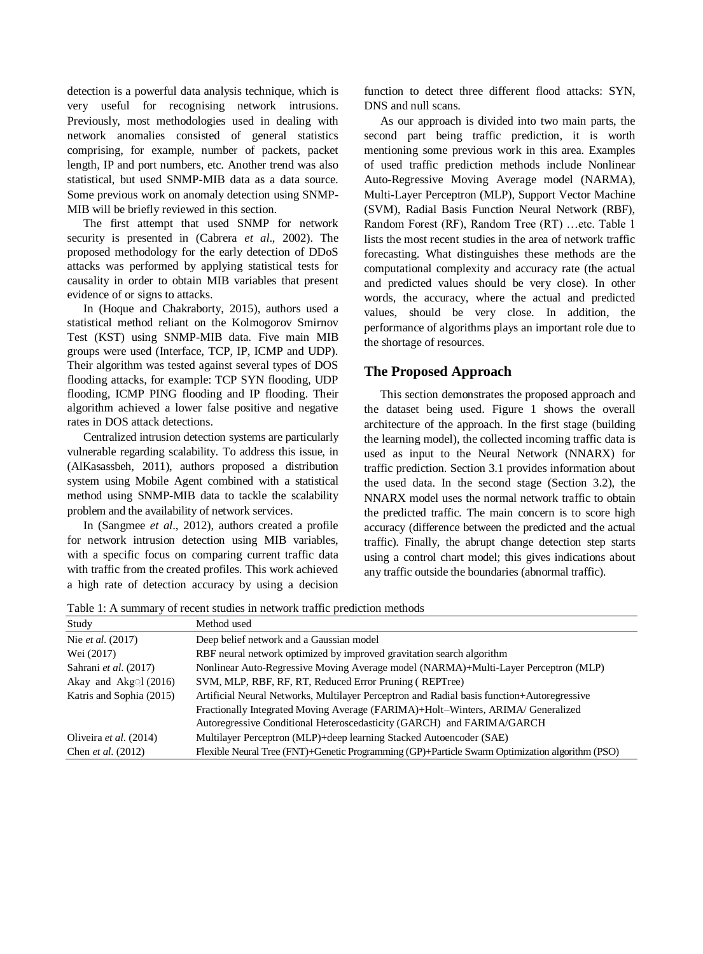detection is a powerful data analysis technique, which is very useful for recognising network intrusions. Previously, most methodologies used in dealing with network anomalies consisted of general statistics comprising, for example, number of packets, packet length, IP and port numbers, etc. Another trend was also statistical, but used SNMP-MIB data as a data source. Some previous work on anomaly detection using SNMP-MIB will be briefly reviewed in this section.

The first attempt that used SNMP for network security is presented in (Cabrera *et al*., 2002). The proposed methodology for the early detection of DDoS attacks was performed by applying statistical tests for causality in order to obtain MIB variables that present evidence of or signs to attacks.

In (Hoque and Chakraborty, 2015), authors used a statistical method reliant on the Kolmogorov Smirnov Test (KST) using SNMP-MIB data. Five main MIB groups were used (Interface, TCP, IP, ICMP and UDP). Their algorithm was tested against several types of DOS flooding attacks, for example: TCP SYN flooding, UDP flooding, ICMP PING flooding and IP flooding. Their algorithm achieved a lower false positive and negative rates in DOS attack detections.

Centralized intrusion detection systems are particularly vulnerable regarding scalability. To address this issue, in (AlKasassbeh, 2011), authors proposed a distribution system using Mobile Agent combined with a statistical method using SNMP-MIB data to tackle the scalability problem and the availability of network services.

In (Sangmee *et al*., 2012), authors created a profile for network intrusion detection using MIB variables, with a specific focus on comparing current traffic data with traffic from the created profiles. This work achieved a high rate of detection accuracy by using a decision

function to detect three different flood attacks: SYN, DNS and null scans.

As our approach is divided into two main parts, the second part being traffic prediction, it is worth mentioning some previous work in this area. Examples of used traffic prediction methods include Nonlinear Auto-Regressive Moving Average model (NARMA), Multi-Layer Perceptron (MLP), Support Vector Machine (SVM), Radial Basis Function Neural Network (RBF), Random Forest (RF), Random Tree (RT) …etc. Table 1 lists the most recent studies in the area of network traffic forecasting. What distinguishes these methods are the computational complexity and accuracy rate (the actual and predicted values should be very close). In other words, the accuracy, where the actual and predicted values, should be very close. In addition, the performance of algorithms plays an important role due to the shortage of resources.

# **The Proposed Approach**

This section demonstrates the proposed approach and the dataset being used. Figure 1 shows the overall architecture of the approach. In the first stage (building the learning model), the collected incoming traffic data is used as input to the Neural Network (NNARX) for traffic prediction. Section 3.1 provides information about the used data. In the second stage (Section 3.2), the NNARX model uses the normal network traffic to obtain the predicted traffic. The main concern is to score high accuracy (difference between the predicted and the actual traffic). Finally, the abrupt change detection step starts using a control chart model; this gives indications about any traffic outside the boundaries (abnormal traffic).

Table 1: A summary of recent studies in network traffic prediction methods

| Study                     | Method used                                                                                     |  |
|---------------------------|-------------------------------------------------------------------------------------------------|--|
| Nie <i>et al.</i> (2017)  | Deep belief network and a Gaussian model                                                        |  |
| Wei (2017)                | RBF neural network optimized by improved gravitation search algorithm                           |  |
| Sahrani et al. (2017)     | Nonlinear Auto-Regressive Moving Average model (NARMA)+Multi-Layer Perceptron (MLP)             |  |
| Akay and Akgol $(2016)$   | SVM, MLP, RBF, RF, RT, Reduced Error Pruning (REPTree)                                          |  |
| Katris and Sophia (2015)  | Artificial Neural Networks, Multilayer Perceptron and Radial basis function+Autoregressive      |  |
|                           | Fractionally Integrated Moving Average (FARIMA)+Holt-Winters, ARIMA/ Generalized                |  |
|                           | Autoregressive Conditional Heteroscedasticity (GARCH) and FARIMA/GARCH                          |  |
| Oliveira et al. (2014)    | Multilayer Perceptron (MLP)+deep learning Stacked Autoencoder (SAE)                             |  |
| Chen <i>et al.</i> (2012) | Flexible Neural Tree (FNT)+Genetic Programming (GP)+Particle Swarm Optimization algorithm (PSO) |  |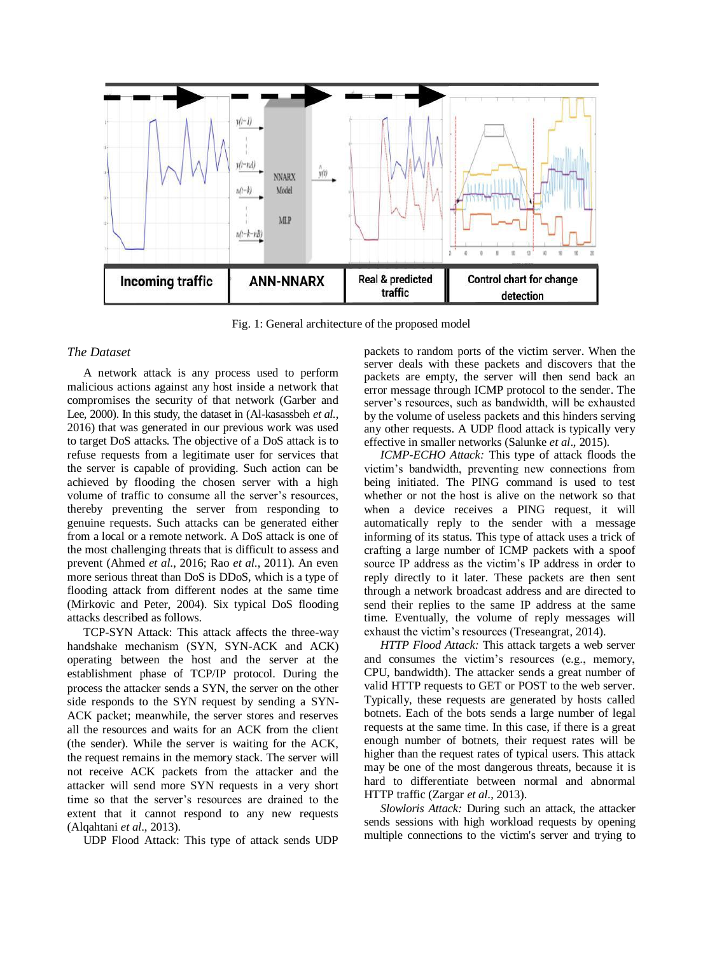

Fig. 1: General architecture of the proposed model

## *The Dataset*

A network attack is any process used to perform malicious actions against any host inside a network that compromises the security of that network (Garber and Lee, 2000). In this study, the dataset in (Al-kasassbeh *et al*., 2016) that was generated in our previous work was used to target DoS attacks. The objective of a DoS attack is to refuse requests from a legitimate user for services that the server is capable of providing. Such action can be achieved by flooding the chosen server with a high volume of traffic to consume all the server's resources, thereby preventing the server from responding to genuine requests. Such attacks can be generated either from a local or a remote network. A DoS attack is one of the most challenging threats that is difficult to assess and prevent (Ahmed *et al*., 2016; Rao *et al*., 2011). An even more serious threat than DoS is DDoS, which is a type of flooding attack from different nodes at the same time (Mirkovic and Peter, 2004). Six typical DoS flooding attacks described as follows.

TCP-SYN Attack: This attack affects the three-way handshake mechanism (SYN, SYN-ACK and ACK) operating between the host and the server at the establishment phase of TCP/IP protocol. During the process the attacker sends a SYN, the server on the other side responds to the SYN request by sending a SYN-ACK packet; meanwhile, the server stores and reserves all the resources and waits for an ACK from the client (the sender). While the server is waiting for the ACK, the request remains in the memory stack. The server will not receive ACK packets from the attacker and the attacker will send more SYN requests in a very short time so that the server's resources are drained to the extent that it cannot respond to any new requests (Alqahtani *et al*., 2013).

UDP Flood Attack: This type of attack sends UDP

packets to random ports of the victim server. When the server deals with these packets and discovers that the packets are empty, the server will then send back an error message through ICMP protocol to the sender. The server's resources, such as bandwidth, will be exhausted by the volume of useless packets and this hinders serving any other requests. A UDP flood attack is typically very effective in smaller networks (Salunke *et al*., 2015).

*ICMP-ECHO Attack:* This type of attack floods the victim's bandwidth, preventing new connections from being initiated. The PING command is used to test whether or not the host is alive on the network so that when a device receives a PING request, it will automatically reply to the sender with a message informing of its status. This type of attack uses a trick of crafting a large number of ICMP packets with a spoof source IP address as the victim's IP address in order to reply directly to it later. These packets are then sent through a network broadcast address and are directed to send their replies to the same IP address at the same time. Eventually, the volume of reply messages will exhaust the victim's resources (Treseangrat, 2014).

*HTTP Flood Attack:* This attack targets a web server and consumes the victim's resources (e.g., memory, CPU, bandwidth). The attacker sends a great number of valid HTTP requests to GET or POST to the web server. Typically, these requests are generated by hosts called botnets. Each of the bots sends a large number of legal requests at the same time. In this case, if there is a great enough number of botnets, their request rates will be higher than the request rates of typical users. This attack may be one of the most dangerous threats, because it is hard to differentiate between normal and abnormal HTTP traffic (Zargar *et al*., 2013).

*Slowloris Attack:* During such an attack, the attacker sends sessions with high workload requests by opening multiple connections to the victim's server and trying to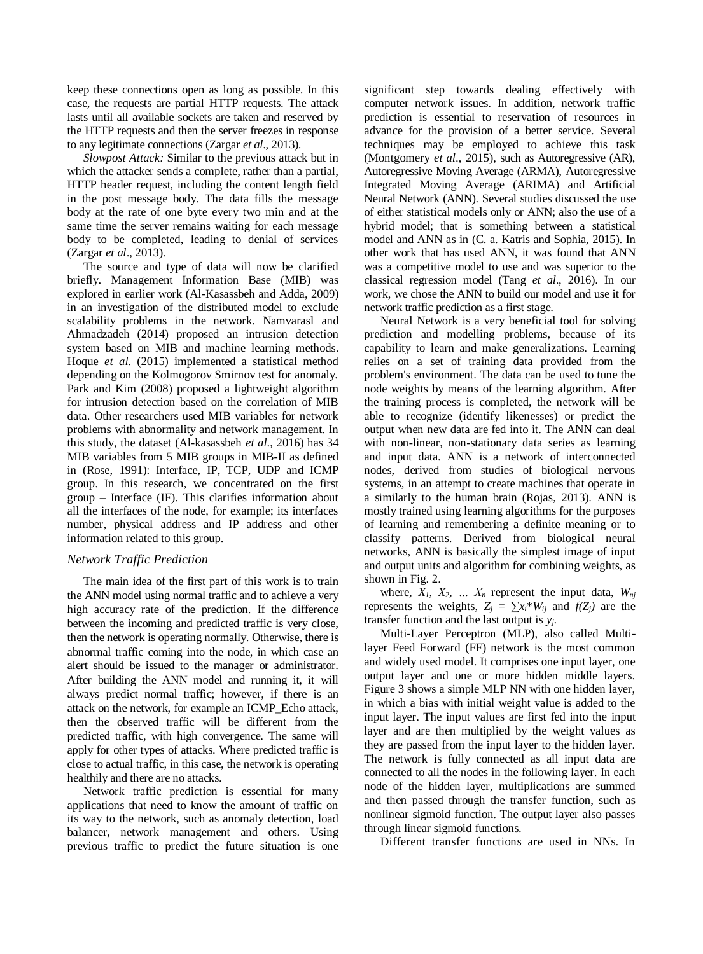keep these connections open as long as possible. In this case, the requests are partial HTTP requests. The attack lasts until all available sockets are taken and reserved by the HTTP requests and then the server freezes in response to any legitimate connections (Zargar *et al*., 2013).

*Slowpost Attack:* Similar to the previous attack but in which the attacker sends a complete, rather than a partial, HTTP header request, including the content length field in the post message body. The data fills the message body at the rate of one byte every two min and at the same time the server remains waiting for each message body to be completed, leading to denial of services (Zargar *et al*., 2013).

The source and type of data will now be clarified briefly. Management Information Base (MIB) was explored in earlier work (Al-Kasassbeh and Adda, 2009) in an investigation of the distributed model to exclude scalability problems in the network. Namvarasl and Ahmadzadeh (2014) proposed an intrusion detection system based on MIB and machine learning methods. Hoque *et al*. (2015) implemented a statistical method depending on the Kolmogorov Smirnov test for anomaly. Park and Kim (2008) proposed a lightweight algorithm for intrusion detection based on the correlation of MIB data. Other researchers used MIB variables for network problems with abnormality and network management. In this study, the dataset (Al-kasassbeh *et al*., 2016) has 34 MIB variables from 5 MIB groups in MIB-II as defined in (Rose, 1991): Interface, IP, TCP, UDP and ICMP group. In this research, we concentrated on the first group – Interface (IF). This clarifies information about all the interfaces of the node, for example; its interfaces number, physical address and IP address and other information related to this group.

## *Network Traffic Prediction*

The main idea of the first part of this work is to train the ANN model using normal traffic and to achieve a very high accuracy rate of the prediction. If the difference between the incoming and predicted traffic is very close, then the network is operating normally. Otherwise, there is abnormal traffic coming into the node, in which case an alert should be issued to the manager or administrator. After building the ANN model and running it, it will always predict normal traffic; however, if there is an attack on the network, for example an ICMP\_Echo attack, then the observed traffic will be different from the predicted traffic, with high convergence. The same will apply for other types of attacks. Where predicted traffic is close to actual traffic, in this case, the network is operating healthily and there are no attacks.

Network traffic prediction is essential for many applications that need to know the amount of traffic on its way to the network, such as anomaly detection, load balancer, network management and others. Using previous traffic to predict the future situation is one

significant step towards dealing effectively with computer network issues. In addition, network traffic prediction is essential to reservation of resources in advance for the provision of a better service. Several techniques may be employed to achieve this task (Montgomery *et al*., 2015), such as Autoregressive (AR), Autoregressive Moving Average (ARMA), Autoregressive Integrated Moving Average (ARIMA) and Artificial Neural Network (ANN). Several studies discussed the use of either statistical models only or ANN; also the use of a hybrid model; that is something between a statistical model and ANN as in (C. a. Katris and Sophia, 2015). In other work that has used ANN, it was found that ANN was a competitive model to use and was superior to the classical regression model (Tang *et al*., 2016). In our work, we chose the ANN to build our model and use it for network traffic prediction as a first stage.

Neural Network is a very beneficial tool for solving prediction and modelling problems, because of its capability to learn and make generalizations. Learning relies on a set of training data provided from the problem's environment. The data can be used to tune the node weights by means of the learning algorithm. After the training process is completed, the network will be able to recognize (identify likenesses) or predict the output when new data are fed into it. The ANN can deal with non-linear, non-stationary data series as learning and input data. ANN is a network of interconnected nodes, derived from studies of biological nervous systems, in an attempt to create machines that operate in a similarly to the human brain (Rojas, 2013). ANN is mostly trained using learning algorithms for the purposes of learning and remembering a definite meaning or to classify patterns. Derived from biological neural networks, ANN is basically the simplest image of input and output units and algorithm for combining weights, as shown in Fig. 2.

where,  $X_1$ ,  $X_2$ , ...  $X_n$  represent the input data,  $W_{nj}$ represents the weights,  $Z_j = \sum x_i^* W_{ij}$  and  $f(Z_j)$  are the transfer function and the last output is *yj*.

Multi-Layer Perceptron (MLP), also called Multilayer Feed Forward (FF) network is the most common and widely used model. It comprises one input layer, one output layer and one or more hidden middle layers. Figure 3 shows a simple MLP NN with one hidden layer, in which a bias with initial weight value is added to the input layer. The input values are first fed into the input layer and are then multiplied by the weight values as they are passed from the input layer to the hidden layer. The network is fully connected as all input data are connected to all the nodes in the following layer. In each node of the hidden layer, multiplications are summed and then passed through the transfer function, such as nonlinear sigmoid function. The output layer also passes through linear sigmoid functions.

Different transfer functions are used in NNs. In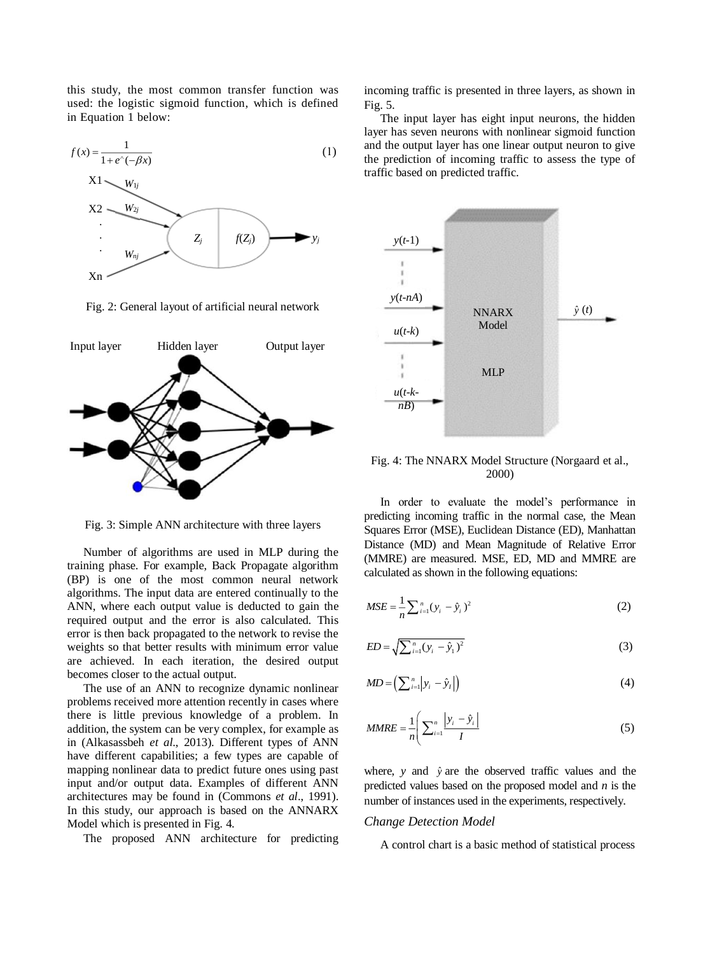this study, the most common transfer function was used: the logistic sigmoid function, which is defined in Equation 1 below:

$$
f(x) = \frac{1}{1 + e^{\hat{}}(-\beta x)}
$$
 (1)



Fig. 2: General layout of artificial neural network



Fig. 3: Simple ANN architecture with three layers

Number of algorithms are used in MLP during the training phase. For example, Back Propagate algorithm (BP) is one of the most common neural network algorithms. The input data are entered continually to the ANN, where each output value is deducted to gain the required output and the error is also calculated. This error is then back propagated to the network to revise the weights so that better results with minimum error value are achieved. In each iteration, the desired output becomes closer to the actual output.

The use of an ANN to recognize dynamic nonlinear problems received more attention recently in cases where there is little previous knowledge of a problem. In addition, the system can be very complex, for example as in (Alkasassbeh *et al*., 2013). Different types of ANN have different capabilities; a few types are capable of mapping nonlinear data to predict future ones using past input and/or output data. Examples of different ANN architectures may be found in (Commons *et al*., 1991). In this study, our approach is based on the ANNARX Model which is presented in Fig. 4.

The proposed ANN architecture for predicting

incoming traffic is presented in three layers, as shown in Fig. 5.

The input layer has eight input neurons, the hidden layer has seven neurons with nonlinear sigmoid function and the output layer has one linear output neuron to give the prediction of incoming traffic to assess the type of traffic based on predicted traffic.



Fig. 4: The NNARX Model Structure (Norgaard et al., 2000)

In order to evaluate the model's performance in predicting incoming traffic in the normal case, the Mean Squares Error (MSE), Euclidean Distance (ED), Manhattan Distance (MD) and Mean Magnitude of Relative Error (MMRE) are measured. MSE, ED, MD and MMRE are calculated as shown in the following equations:

$$
MSE = \frac{1}{n} \sum_{i=1}^{n} (y_i - \hat{y}_i)^2
$$
 (2)

$$
ED = \sqrt{\sum_{i=1}^{n} (y_i - \hat{y}_1)^2}
$$
 (3)

$$
MD = \left(\sum_{i=1}^{n} |y_i - \hat{y}_I|\right) \tag{4}
$$

$$
MMRE = \frac{1}{n} \left( \sum_{i=1}^{n} \frac{|y_i - \hat{y}_i|}{I} \right)
$$
 (5)

where,  $y$  and  $\hat{y}$  are the observed traffic values and the predicted values based on the proposed model and *n* is the number of instances used in the experiments, respectively.

### *Change Detection Model*

A control chart is a basic method of statistical process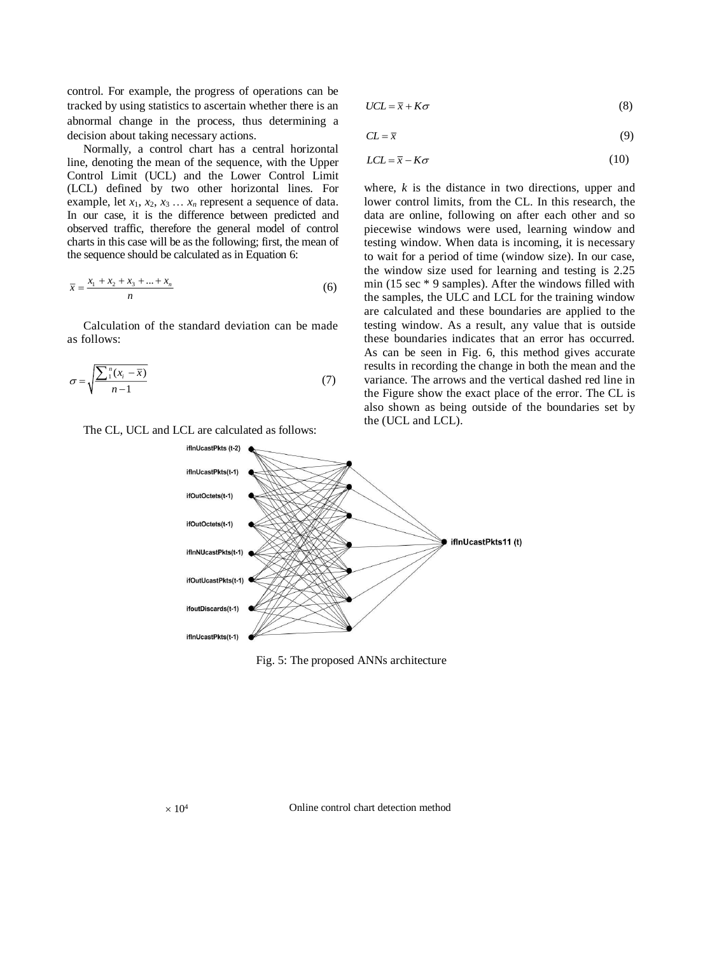control. For example, the progress of operations can be tracked by using statistics to ascertain whether there is an abnormal change in the process, thus determining a decision about taking necessary actions.

Normally, a control chart has a central horizontal line, denoting the mean of the sequence, with the Upper Control Limit (UCL) and the Lower Control Limit (LCL) defined by two other horizontal lines. For example, let  $x_1, x_2, x_3 \ldots x_n$  represent a sequence of data. In our case, it is the difference between predicted and observed traffic, therefore the general model of control charts in this case will be as the following; first, the mean of the sequence should be calculated as in Equation 6:

$$
\bar{x} = \frac{x_1 + x_2 + x_3 + \dots + x_n}{n}
$$
 (6)

Calculation of the standard deviation can be made as follows:

$$
\sigma = \sqrt{\frac{\sum_{i=1}^{n} (x_i - \overline{x})}{n - 1}}
$$
\n(7)

The CL, UCL and LCL are calculated as follows:

$$
UCL = \overline{x} + K\sigma \tag{8}
$$

$$
CL = \overline{x} \tag{9}
$$

$$
LCL = \bar{x} - K\sigma \tag{10}
$$

where, *k* is the distance in two directions, upper and lower control limits, from the CL. In this research, the data are online, following on after each other and so piecewise windows were used, learning window and testing window. When data is incoming, it is necessary to wait for a period of time (window size). In our case, the window size used for learning and testing is 2.25 min (15 sec \* 9 samples). After the windows filled with the samples, the ULC and LCL for the training window are calculated and these boundaries are applied to the testing window. As a result, any value that is outside these boundaries indicates that an error has occurred. As can be seen in Fig. 6, this method gives accurate results in recording the change in both the mean and the variance. The arrows and the vertical dashed red line in the Figure show the exact place of the error. The CL is also shown as being outside of the boundaries set by the (UCL and LCL).



Fig. 5: The proposed ANNs architecture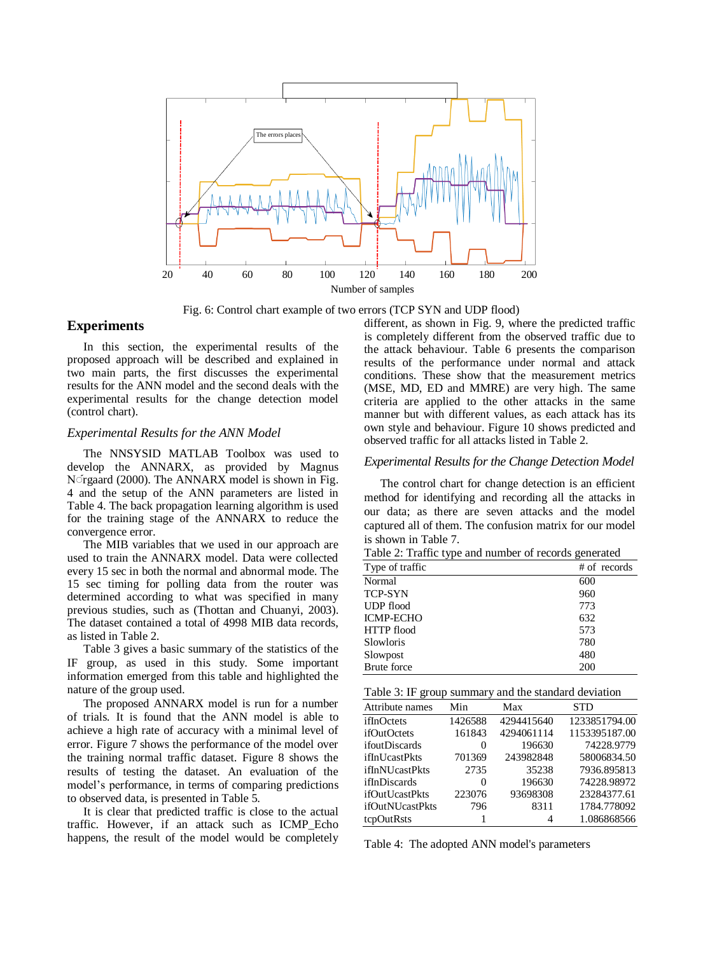

Fig. 6: Control chart example of two errors (TCP SYN and UDP flood)

## **Experiments**

In this section, the experimental results of the proposed approach will be described and explained in two main parts, the first discusses the experimental results for the ANN model and the second deals with the experimental results for the change detection model (control chart).

#### *Experimental Results for the ANN Model*

The NNSYSID MATLAB Toolbox was used to develop the ANNARX, as provided by Magnus N<sup>*i*</sup> rgaard (2000). The ANNARX model is shown in Fig. 4 and the setup of the ANN parameters are listed in Table 4. The back propagation learning algorithm is used for the training stage of the ANNARX to reduce the convergence error.

The MIB variables that we used in our approach are used to train the ANNARX model. Data were collected every 15 sec in both the normal and abnormal mode. The 15 sec timing for polling data from the router was determined according to what was specified in many previous studies, such as (Thottan and Chuanyi, 2003). The dataset contained a total of 4998 MIB data records, as listed in Table 2.

Table 3 gives a basic summary of the statistics of the IF group, as used in this study. Some important information emerged from this table and highlighted the nature of the group used.

The proposed ANNARX model is run for a number of trials. It is found that the ANN model is able to achieve a high rate of accuracy with a minimal level of error. Figure 7 shows the performance of the model over the training normal traffic dataset. Figure 8 shows the results of testing the dataset. An evaluation of the model's performance, in terms of comparing predictions to observed data, is presented in Table 5.

It is clear that predicted traffic is close to the actual traffic. However, if an attack such as ICMP\_Echo happens, the result of the model would be completely

different, as shown in Fig. 9, where the predicted traffic is completely different from the observed traffic due to the attack behaviour. Table 6 presents the comparison results of the performance under normal and attack conditions. These show that the measurement metrics (MSE, MD, ED and MMRE) are very high. The same criteria are applied to the other attacks in the same manner but with different values, as each attack has its own style and behaviour. Figure 10 shows predicted and observed traffic for all attacks listed in Table 2.

### *Experimental Results for the Change Detection Model*

The control chart for change detection is an efficient method for identifying and recording all the attacks in our data; as there are seven attacks and the model captured all of them. The confusion matrix for our model is shown in Table 7.

| Table 2: Traffic type and number of records generated |                |  |
|-------------------------------------------------------|----------------|--|
| Type of traffic                                       | $#$ of records |  |
| Normal                                                | 600            |  |
| <b>TCP-SYN</b>                                        | 960            |  |
| <b>UDP</b> flood                                      | 773            |  |
| <b>ICMP-ECHO</b>                                      | 632            |  |
| HTTP flood                                            | 573            |  |
| Slowloris                                             | 780            |  |
| Slowpost                                              | 480            |  |
| <b>Brute</b> force                                    | 200            |  |

| Table 3: IF group summary and the standard deviation |  |  |  |
|------------------------------------------------------|--|--|--|
|------------------------------------------------------|--|--|--|

| Attribute names        | Min     | Max        | <b>STD</b>    |
|------------------------|---------|------------|---------------|
| ifInOctets             | 1426588 | 4294415640 | 1233851794.00 |
| <i>ifOutOctets</i>     | 161843  | 4294061114 | 1153395187.00 |
| ifoutDiscards          | 0       | 196630     | 74228.9779    |
| ifInUcastPkts          | 701369  | 243982848  | 58006834.50   |
| ifInNUcastPkts         | 2735    | 35238      | 7936.895813   |
| ifInDiscards           | 0       | 196630     | 74228.98972   |
| <i>ifOutUcastPkts</i>  | 223076  | 93698308   | 23284377.61   |
| <i>ifOutNUcastPkts</i> | 796     | 8311       | 1784.778092   |
| tcpOutRsts             |         | Δ          | 1.086868566   |
|                        |         |            |               |

Table 4: The adopted ANN model's parameters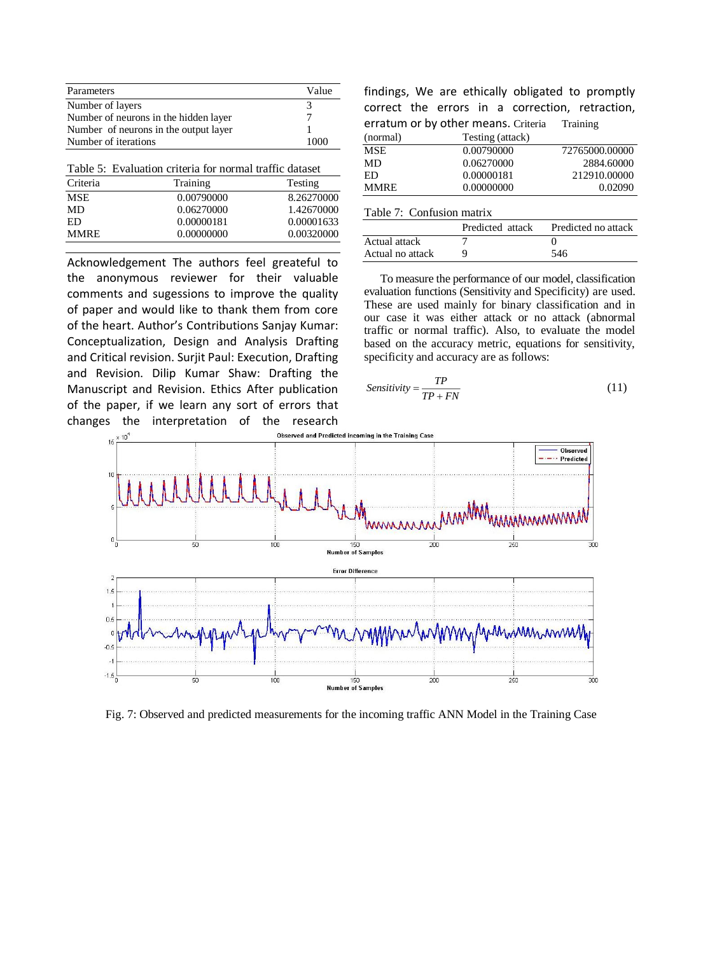| Parameters                            | Value |
|---------------------------------------|-------|
| Number of layers                      |       |
| Number of neurons in the hidden layer |       |
| Number of neurons in the output layer |       |
| Number of iterations                  | 1000  |

|             | Table 5: Evaluation criteria for normal traffic dataset |            |  |
|-------------|---------------------------------------------------------|------------|--|
| Criteria    | Training                                                | Testing    |  |
| <b>MSE</b>  | 0.00790000                                              | 8.26270000 |  |
| MD          | 0.06270000                                              | 1.42670000 |  |
| ED          | 0.00000181                                              | 0.00001633 |  |
| <b>MMRE</b> | 0.00000000                                              | 0.00320000 |  |
|             |                                                         |            |  |

Acknowledgement The authors feel greateful to the anonymous reviewer for their valuable comments and sugessions to improve the quality of paper and would like to thank them from core of the heart. Author's Contributions Sanjay Kumar: Conceptualization, Design and Analysis Drafting and Critical revision. Surjit Paul: Execution, Drafting and Revision. Dilip Kumar Shaw: Drafting the Manuscript and Revision. Ethics After publication of the paper, if we learn any sort of errors that

findings, We are ethically obligated to promptly correct the errors in a correction, retraction, erratum or by other means. Criteria Training

| (normal) | Testing (attack) |                |
|----------|------------------|----------------|
| MSE      | 0.00790000       | 72765000.00000 |
| MD       | 0.06270000       | 2884.60000     |
| ED       | 0.00000181       | 212910.00000   |
| MMRE     | 0.00000000       | 0.02090        |

| Table 7: Confusion matrix |
|---------------------------|
|---------------------------|

|                  | Predicted attack | Predicted no attack |
|------------------|------------------|---------------------|
| Actual attack    |                  |                     |
| Actual no attack |                  | 546                 |

To measure the performance of our model, classification evaluation functions (Sensitivity and Specificity) are used. These are used mainly for binary classification and in our case it was either attack or no attack (abnormal traffic or normal traffic). Also, to evaluate the model based on the accuracy metric, equations for sensitivity, specificity and accuracy are as follows:

$$
Sensitivity = \frac{TP}{TP + FN}
$$
 (11)



Fig. 7: Observed and predicted measurements for the incoming traffic ANN Model in the Training Case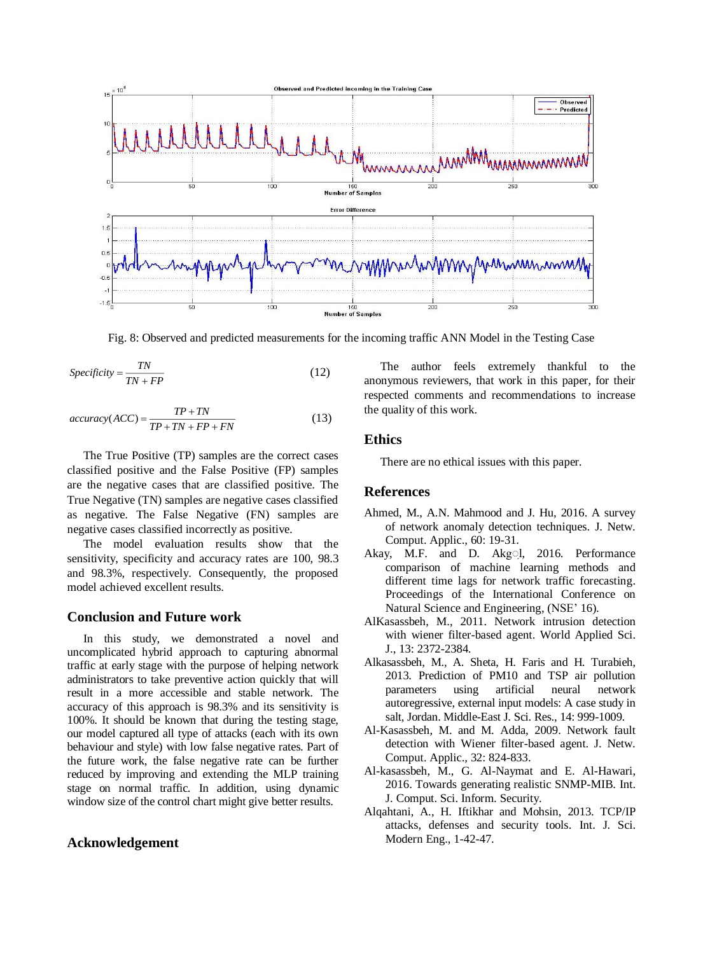

Fig. 8: Observed and predicted measurements for the incoming traffic ANN Model in the Testing Case

$$
Specificity = \frac{TN}{TN + FP}
$$
 (12)

$$
accuracy(ACC) = \frac{TP + TN}{TP + TN + FP + FN}
$$
\n(13)

The True Positive (TP) samples are the correct cases classified positive and the False Positive (FP) samples are the negative cases that are classified positive. The True Negative (TN) samples are negative cases classified as negative. The False Negative (FN) samples are negative cases classified incorrectly as positive.

The model evaluation results show that the sensitivity, specificity and accuracy rates are 100, 98.3 and 98.3%, respectively. Consequently, the proposed model achieved excellent results.

## **Conclusion and Future work**

In this study, we demonstrated a novel and uncomplicated hybrid approach to capturing abnormal traffic at early stage with the purpose of helping network administrators to take preventive action quickly that will result in a more accessible and stable network. The accuracy of this approach is 98.3% and its sensitivity is 100%. It should be known that during the testing stage, our model captured all type of attacks (each with its own behaviour and style) with low false negative rates. Part of the future work, the false negative rate can be further reduced by improving and extending the MLP training stage on normal traffic. In addition, using dynamic window size of the control chart might give better results.

## **Acknowledgement**

The author feels extremely thankful to the anonymous reviewers, that work in this paper, for their respected comments and recommendations to increase the quality of this work.

# **Ethics**

There are no ethical issues with this paper.

### **References**

- Ahmed, M., A.N. Mahmood and J. Hu, 2016. A survey of network anomaly detection techniques. J. Netw. Comput. Applic., 60: 19-31.
- Akay, M.F. and D. Akg<sup>o</sup>l, 2016. Performance comparison of machine learning methods and different time lags for network traffic forecasting. Proceedings of the International Conference on Natural Science and Engineering, (NSE' 16).
- AlKasassbeh, M., 2011. Network intrusion detection with wiener filter-based agent. World Applied Sci. J., 13: 2372-2384.
- Alkasassbeh, M., A. Sheta, H. Faris and H. Turabieh, 2013. Prediction of PM10 and TSP air pollution parameters using artificial neural network autoregressive, external input models: A case study in salt, Jordan. Middle-East J. Sci. Res., 14: 999-1009.
- Al-Kasassbeh, M. and M. Adda, 2009. Network fault detection with Wiener filter-based agent. J. Netw. Comput. Applic., 32: 824-833.
- Al-kasassbeh, M., G. Al-Naymat and E. Al-Hawari, 2016. Towards generating realistic SNMP-MIB. Int. J. Comput. Sci. Inform. Security.
- Alqahtani, A., H. Iftikhar and Mohsin, 2013. TCP/IP attacks, defenses and security tools. Int. J. Sci. Modern Eng., 1-42-47.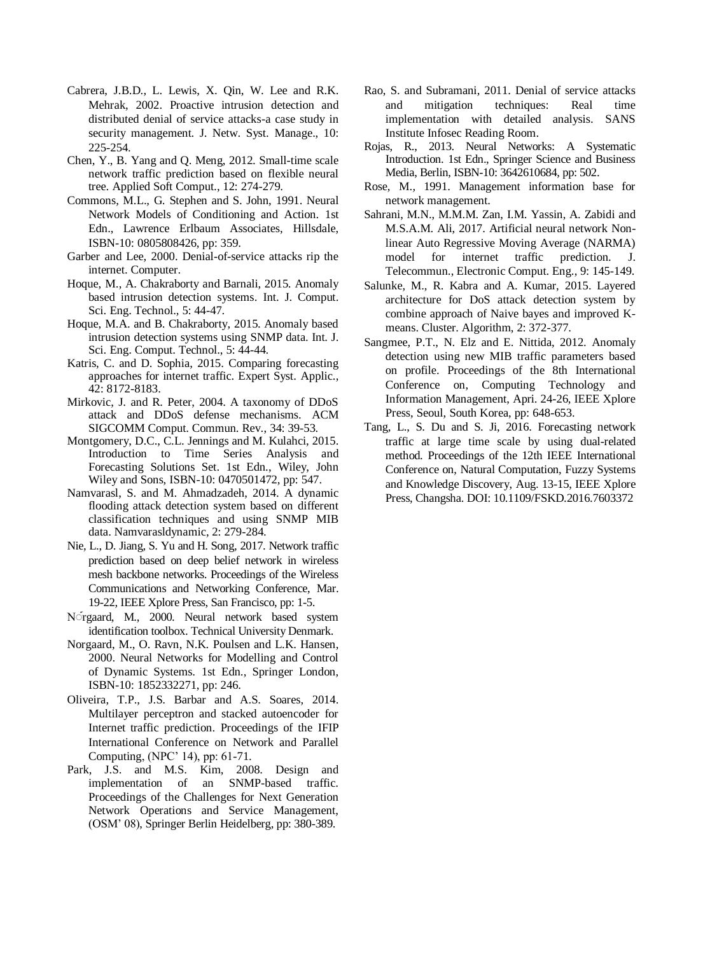- Cabrera, J.B.D., L. Lewis, X. Qin, W. Lee and R.K. Mehrak, 2002. Proactive intrusion detection and distributed denial of service attacks-a case study in security management. J. Netw. Syst. Manage., 10: 225-254.
- Chen, Y., B. Yang and Q. Meng, 2012. Small-time scale network traffic prediction based on flexible neural tree. Applied Soft Comput., 12: 274-279.
- Commons, M.L., G. Stephen and S. John, 1991. Neural Network Models of Conditioning and Action. 1st Edn., Lawrence Erlbaum Associates, Hillsdale, ISBN-10: 0805808426, pp: 359.
- Garber and Lee, 2000. Denial-of-service attacks rip the internet. Computer.
- Hoque, M., A. Chakraborty and Barnali, 2015. Anomaly based intrusion detection systems. Int. J. Comput. Sci. Eng. Technol., 5: 44-47.
- Hoque, M.A. and B. Chakraborty, 2015. Anomaly based intrusion detection systems using SNMP data. Int. J. Sci. Eng. Comput. Technol., 5: 44-44.
- Katris, C. and D. Sophia, 2015. Comparing forecasting approaches for internet traffic. Expert Syst. Applic., 42: 8172-8183.
- Mirkovic, J. and R. Peter, 2004. A taxonomy of DDoS attack and DDoS defense mechanisms. ACM SIGCOMM Comput. Commun. Rev., 34: 39-53.
- Montgomery, D.C., C.L. Jennings and M. Kulahci, 2015. Introduction to Time Series Analysis and Forecasting Solutions Set. 1st Edn., Wiley, John Wiley and Sons, ISBN-10: 0470501472, pp: 547.
- Namvarasl, S. and M. Ahmadzadeh, 2014. A dynamic flooding attack detection system based on different classification techniques and using SNMP MIB data. Namvarasldynamic, 2: 279-284.
- Nie, L., D. Jiang, S. Yu and H. Song, 2017. Network traffic prediction based on deep belief network in wireless mesh backbone networks. Proceedings of the Wireless Communications and Networking Conference, Mar. 19-22, IEEE Xplore Press, San Francisco, pp: 1-5.
- N<sup>*i*</sup>rgaard, M., 2000. Neural network based system identification toolbox. Technical University Denmark.
- Norgaard, M., O. Ravn, N.K. Poulsen and L.K. Hansen, 2000. Neural Networks for Modelling and Control of Dynamic Systems. 1st Edn., Springer London, ISBN-10: 1852332271, pp: 246.
- Oliveira, T.P., J.S. Barbar and A.S. Soares, 2014. Multilayer perceptron and stacked autoencoder for Internet traffic prediction. Proceedings of the IFIP International Conference on Network and Parallel Computing, (NPC' 14), pp: 61-71.
- Park, J.S. and M.S. Kim, 2008. Design and implementation of an SNMP-based traffic. Proceedings of the Challenges for Next Generation Network Operations and Service Management, (OSM' 08), Springer Berlin Heidelberg, pp: 380-389.
- Rao, S. and Subramani, 2011. Denial of service attacks and mitigation techniques: Real time implementation with detailed analysis. SANS Institute Infosec Reading Room.
- Rojas, R., 2013. Neural Networks: A Systematic Introduction. 1st Edn., Springer Science and Business Media, Berlin, ISBN-10: 3642610684, pp: 502.
- Rose, M., 1991. Management information base for network management.
- Sahrani, M.N., M.M.M. Zan, I.M. Yassin, A. Zabidi and M.S.A.M. Ali, 2017. Artificial neural network Nonlinear Auto Regressive Moving Average (NARMA) model for internet traffic prediction. Telecommun., Electronic Comput. Eng., 9: 145-149.
- Salunke, M., R. Kabra and A. Kumar, 2015. Layered architecture for DoS attack detection system by combine approach of Naive bayes and improved Kmeans. Cluster. Algorithm, 2: 372-377.
- Sangmee, P.T., N. Elz and E. Nittida, 2012. Anomaly detection using new MIB traffic parameters based on profile. Proceedings of the 8th International Conference on, Computing Technology and Information Management, Apri. 24-26, IEEE Xplore Press, Seoul, South Korea, pp: 648-653.
- Tang, L., S. Du and S. Ji, 2016. Forecasting network traffic at large time scale by using dual-related method. Proceedings of the 12th IEEE International Conference on, Natural Computation, Fuzzy Systems and Knowledge Discovery, Aug. 13-15, IEEE Xplore Press, Changsha. DOI: 10.1109/FSKD.2016.7603372